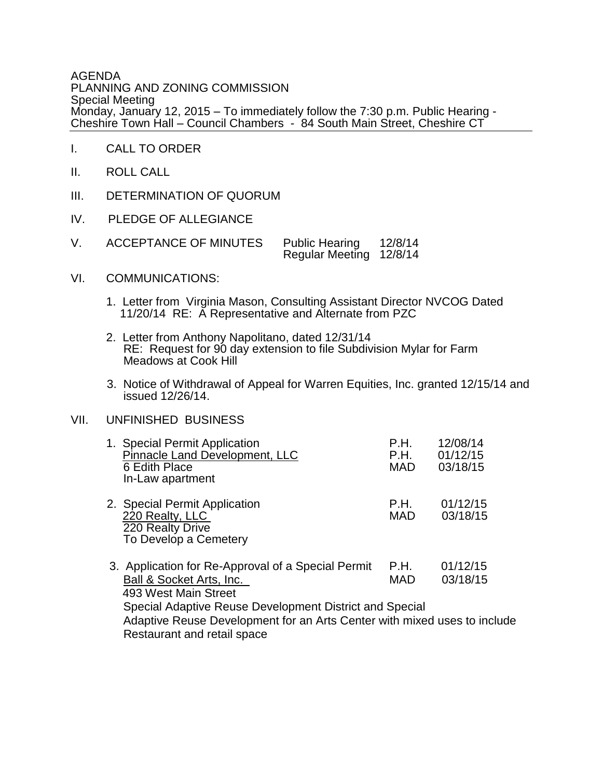AGENDA PLANNING AND ZONING COMMISSION Special Meeting Monday, January 12, 2015 – To immediately follow the 7:30 p.m. Public Hearing - Cheshire Town Hall – Council Chambers - 84 South Main Street, Cheshire CT

- I. CALL TO ORDER
- II. ROLL CALL
- III. DETERMINATION OF QUORUM
- IV. PLEDGE OF ALLEGIANCE
- V. ACCEPTANCE OF MINUTES Public Hearing 12/8/14 Regular Meeting 12/8/14
- VI. COMMUNICATIONS:
	- 1. Letter from Virginia Mason, Consulting Assistant Director NVCOG Dated 11/20/14 RE: A Representative and Alternate from PZC
	- 2. Letter from Anthony Napolitano, dated 12/31/14 RE: Request for 90 day extension to file Subdivision Mylar for Farm Meadows at Cook Hill
	- 3. Notice of Withdrawal of Appeal for Warren Equities, Inc. granted 12/15/14 and issued 12/26/14.

## VII. UNFINISHED BUSINESS

| 1. Special Permit Application<br>Pinnacle Land Development, LLC<br>6 Edith Place<br>In-Law apartment                                                                                                                                          | P.H.<br>P.H.<br><b>MAD</b> | 12/08/14<br>01/12/15<br>03/18/15 |
|-----------------------------------------------------------------------------------------------------------------------------------------------------------------------------------------------------------------------------------------------|----------------------------|----------------------------------|
| 2. Special Permit Application<br>220 Realty, LLC<br>220 Realty Drive<br>To Develop a Cemetery                                                                                                                                                 | P.H.<br><b>MAD</b>         | 01/12/15<br>03/18/15             |
| 3. Application for Re-Approval of a Special Permit<br>Ball & Socket Arts, Inc.<br>493 West Main Street<br>Special Adaptive Reuse Development District and Special<br>Adaptive Reuse Development for an Arts Center with mixed uses to include | P.H.<br><b>MAD</b>         | 01/12/15<br>03/18/15             |

Restaurant and retail space